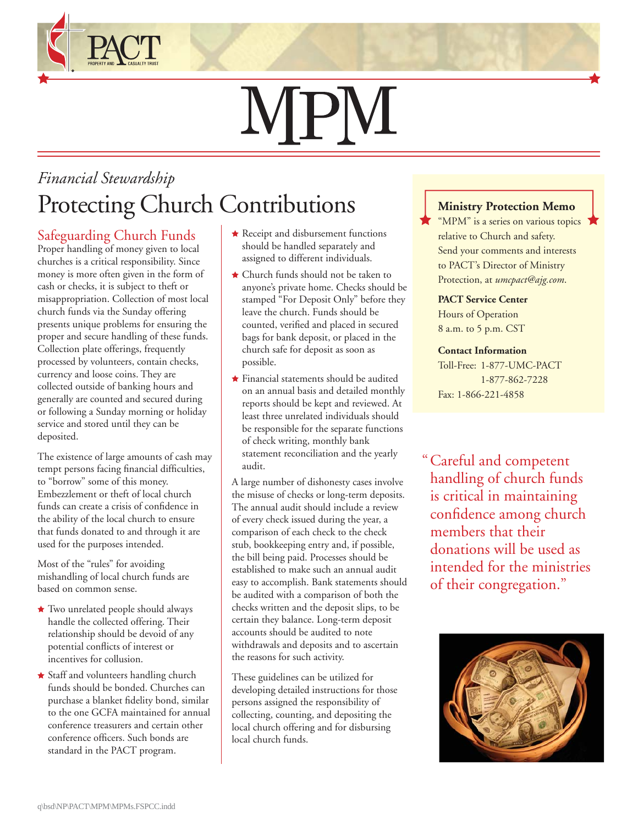# **NPM**

## *Financial Stewardship* Protecting Church Contributions **Ministry Protection Memo**

#### Safeguarding Church Funds

Proper handling of money given to local churches is a critical responsibility. Since money is more often given in the form of cash or checks, it is subject to theft or misappropriation. Collection of most local church funds via the Sunday offering presents unique problems for ensuring the proper and secure handling of these funds. Collection plate offerings, frequently processed by volunteers, contain checks, currency and loose coins. They are collected outside of banking hours and generally are counted and secured during or following a Sunday morning or holiday service and stored until they can be deposited.

The existence of large amounts of cash may tempt persons facing financial difficulties, to "borrow" some of this money. Embezzlement or theft of local church funds can create a crisis of confidence in the ability of the local church to ensure that funds donated to and through it are used for the purposes intended.

Most of the "rules" for avoiding mishandling of local church funds are based on common sense.

- $\star$  Two unrelated people should always handle the collected offering. Their relationship should be devoid of any potential conflicts of interest or incentives for collusion.
- Staff and volunteers handling church funds should be bonded. Churches can purchase a blanket fidelity bond, similar to the one GCFA maintained for annual conference treasurers and certain other conference officers. Such bonds are standard in the PACT program.
- $\star$  Receipt and disbursement functions should be handled separately and assigned to different individuals.
- Church funds should not be taken to anyone's private home. Checks should be stamped "For Deposit Only" before they leave the church. Funds should be counted, verified and placed in secured bags for bank deposit, or placed in the church safe for deposit as soon as possible.
- Financial statements should be audited on an annual basis and detailed monthly reports should be kept and reviewed. At least three unrelated individuals should be responsible for the separate functions of check writing, monthly bank statement reconciliation and the yearly audit.

A large number of dishonesty cases involve the misuse of checks or long-term deposits. The annual audit should include a review of every check issued during the year, a comparison of each check to the check stub, bookkeeping entry and, if possible, the bill being paid. Processes should be established to make such an annual audit easy to accomplish. Bank statements should be audited with a comparison of both the checks written and the deposit slips, to be certain they balance. Long-term deposit accounts should be audited to note withdrawals and deposits and to ascertain the reasons for such activity.

These guidelines can be utilized for developing detailed instructions for those persons assigned the responsibility of collecting, counting, and depositing the local church offering and for disbursing local church funds.

"MPM" is a series on various topics relative to Church and safety. Send your comments and interests to PACT's Director of Ministry Protection, at *umcpact@ajg.com*.

### **PACT Service Center**

Hours of Operation 8 a.m. to 5 p.m. CST

#### **Contact Information**

Toll-Free: 1-877-UMC-PACT 1-877-862-7228 Fax: 1-866-221-4858

" Careful and competent handling of church funds is critical in maintaining confidence among church members that their donations will be used as intended for the ministries of their congregation."